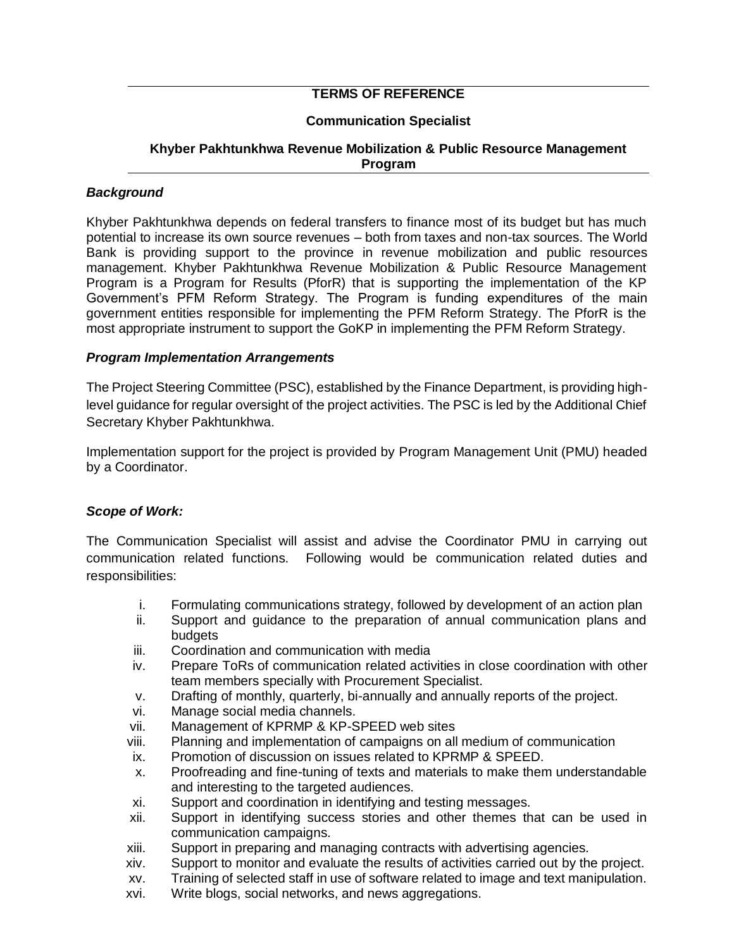# **TERMS OF REFERENCE**

## **Communication Specialist**

## **Khyber Pakhtunkhwa Revenue Mobilization & Public Resource Management Program**

## *Background*

Khyber Pakhtunkhwa depends on federal transfers to finance most of its budget but has much potential to increase its own source revenues – both from taxes and non-tax sources. The World Bank is providing support to the province in revenue mobilization and public resources management. Khyber Pakhtunkhwa Revenue Mobilization & Public Resource Management Program is a Program for Results (PforR) that is supporting the implementation of the KP Government's PFM Reform Strategy. The Program is funding expenditures of the main government entities responsible for implementing the PFM Reform Strategy. The PforR is the most appropriate instrument to support the GoKP in implementing the PFM Reform Strategy.

#### *Program Implementation Arrangements*

The Project Steering Committee (PSC), established by the Finance Department, is providing highlevel guidance for regular oversight of the project activities. The PSC is led by the Additional Chief Secretary Khyber Pakhtunkhwa.

Implementation support for the project is provided by Program Management Unit (PMU) headed by a Coordinator.

## *Scope of Work:*

The Communication Specialist will assist and advise the Coordinator PMU in carrying out communication related functions. Following would be communication related duties and responsibilities:

- i. Formulating communications strategy, followed by development of an action plan
- ii. Support and guidance to the preparation of annual communication plans and budgets
- iii. Coordination and communication with media
- iv. Prepare ToRs of communication related activities in close coordination with other team members specially with Procurement Specialist.
- v. Drafting of monthly, quarterly, bi-annually and annually reports of the project.
- vi. Manage social media channels.
- vii. Management of KPRMP & KP-SPEED web sites
- viii. Planning and implementation of campaigns on all medium of communication
- ix. Promotion of discussion on issues related to KPRMP & SPEED.
- x. Proofreading and fine-tuning of texts and materials to make them understandable and interesting to the targeted audiences.
- xi. Support and coordination in identifying and testing messages.
- xii. Support in identifying success stories and other themes that can be used in communication campaigns.
- xiii. Support in preparing and managing contracts with advertising agencies.
- xiv. Support to monitor and evaluate the results of activities carried out by the project.
- xv. Training of selected staff in use of software related to image and text manipulation.
- xvi. Write blogs, social networks, and news aggregations.